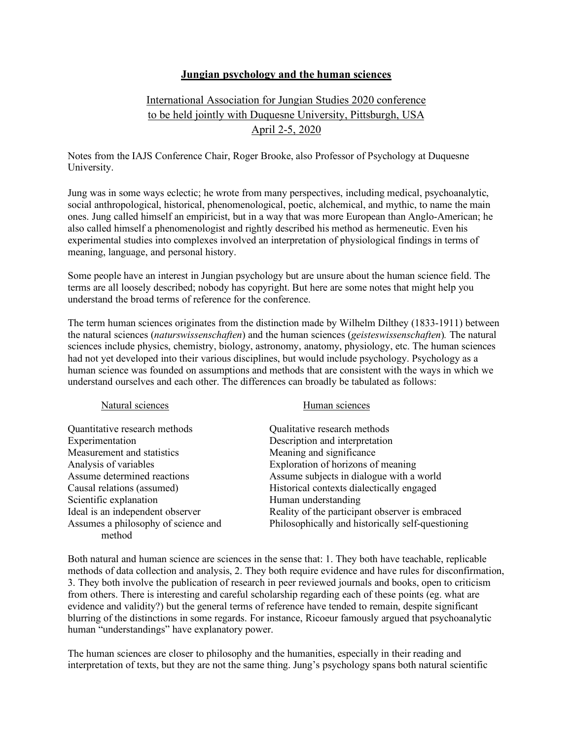## **Jungian psychology and the human sciences**

## International Association for Jungian Studies 2020 conference to be held jointly with Duquesne University, Pittsburgh, USA April 2-5, 2020

Notes from the IAJS Conference Chair, Roger Brooke, also Professor of Psychology at Duquesne University.

Jung was in some ways eclectic; he wrote from many perspectives, including medical, psychoanalytic, social anthropological, historical, phenomenological, poetic, alchemical, and mythic, to name the main ones. Jung called himself an empiricist, but in a way that was more European than Anglo-American; he also called himself a phenomenologist and rightly described his method as hermeneutic. Even his experimental studies into complexes involved an interpretation of physiological findings in terms of meaning, language, and personal history.

Some people have an interest in Jungian psychology but are unsure about the human science field. The terms are all loosely described; nobody has copyright. But here are some notes that might help you understand the broad terms of reference for the conference.

The term human sciences originates from the distinction made by Wilhelm Dilthey (1833-1911) between the natural sciences (*naturswissenschaften*) and the human sciences (*geisteswissenschaften*)*.* The natural sciences include physics, chemistry, biology, astronomy, anatomy, physiology, etc. The human sciences had not yet developed into their various disciplines, but would include psychology. Psychology as a human science was founded on assumptions and methods that are consistent with the ways in which we understand ourselves and each other. The differences can broadly be tabulated as follows:

## Natural sciences Human sciences

| Quantitative research methods       | Qualitative research methods                      |
|-------------------------------------|---------------------------------------------------|
| Experimentation                     | Description and interpretation                    |
| Measurement and statistics          | Meaning and significance                          |
| Analysis of variables               | Exploration of horizons of meaning                |
| Assume determined reactions         | Assume subjects in dialogue with a world          |
| Causal relations (assumed)          | Historical contexts dialectically engaged         |
| Scientific explanation              | Human understanding                               |
| Ideal is an independent observer    | Reality of the participant observer is embraced   |
| Assumes a philosophy of science and | Philosophically and historically self-questioning |
| method                              |                                                   |

Both natural and human science are sciences in the sense that: 1. They both have teachable, replicable methods of data collection and analysis, 2. They both require evidence and have rules for disconfirmation, 3. They both involve the publication of research in peer reviewed journals and books, open to criticism from others. There is interesting and careful scholarship regarding each of these points (eg. what are evidence and validity?) but the general terms of reference have tended to remain, despite significant blurring of the distinctions in some regards. For instance, Ricoeur famously argued that psychoanalytic human "understandings" have explanatory power.

The human sciences are closer to philosophy and the humanities, especially in their reading and interpretation of texts, but they are not the same thing. Jung's psychology spans both natural scientific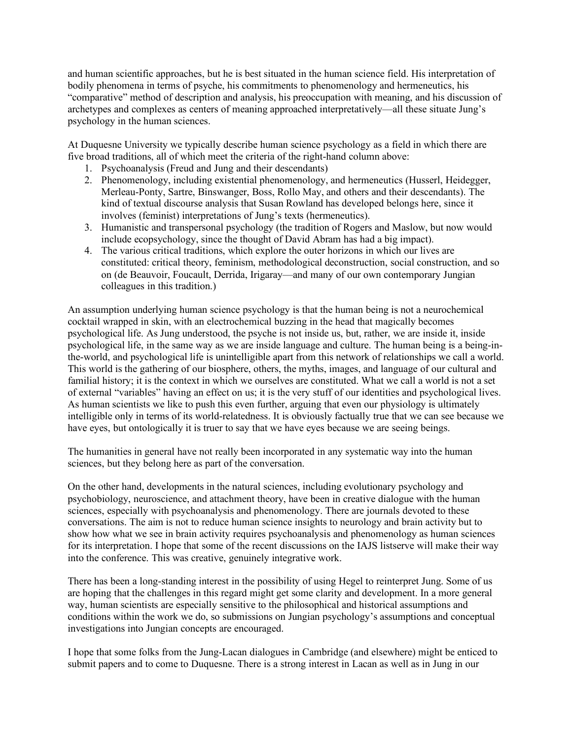and human scientific approaches, but he is best situated in the human science field. His interpretation of bodily phenomena in terms of psyche, his commitments to phenomenology and hermeneutics, his "comparative" method of description and analysis, his preoccupation with meaning, and his discussion of archetypes and complexes as centers of meaning approached interpretatively—all these situate Jung's psychology in the human sciences.

At Duquesne University we typically describe human science psychology as a field in which there are five broad traditions, all of which meet the criteria of the right-hand column above:

- 1. Psychoanalysis (Freud and Jung and their descendants)
- 2. Phenomenology, including existential phenomenology, and hermeneutics (Husserl, Heidegger, Merleau-Ponty, Sartre, Binswanger, Boss, Rollo May, and others and their descendants). The kind of textual discourse analysis that Susan Rowland has developed belongs here, since it involves (feminist) interpretations of Jung's texts (hermeneutics).
- 3. Humanistic and transpersonal psychology (the tradition of Rogers and Maslow, but now would include ecopsychology, since the thought of David Abram has had a big impact).
- 4. The various critical traditions, which explore the outer horizons in which our lives are constituted: critical theory, feminism, methodological deconstruction, social construction, and so on (de Beauvoir, Foucault, Derrida, Irigaray—and many of our own contemporary Jungian colleagues in this tradition.)

An assumption underlying human science psychology is that the human being is not a neurochemical cocktail wrapped in skin, with an electrochemical buzzing in the head that magically becomes psychological life. As Jung understood, the psyche is not inside us, but, rather, we are inside it, inside psychological life, in the same way as we are inside language and culture. The human being is a being-inthe-world, and psychological life is unintelligible apart from this network of relationships we call a world. This world is the gathering of our biosphere, others, the myths, images, and language of our cultural and familial history; it is the context in which we ourselves are constituted. What we call a world is not a set of external "variables" having an effect on us; it is the very stuff of our identities and psychological lives. As human scientists we like to push this even further, arguing that even our physiology is ultimately intelligible only in terms of its world-relatedness. It is obviously factually true that we can see because we have eyes, but ontologically it is truer to say that we have eyes because we are seeing beings.

The humanities in general have not really been incorporated in any systematic way into the human sciences, but they belong here as part of the conversation.

On the other hand, developments in the natural sciences, including evolutionary psychology and psychobiology, neuroscience, and attachment theory, have been in creative dialogue with the human sciences, especially with psychoanalysis and phenomenology. There are journals devoted to these conversations. The aim is not to reduce human science insights to neurology and brain activity but to show how what we see in brain activity requires psychoanalysis and phenomenology as human sciences for its interpretation. I hope that some of the recent discussions on the IAJS listserve will make their way into the conference. This was creative, genuinely integrative work.

There has been a long-standing interest in the possibility of using Hegel to reinterpret Jung. Some of us are hoping that the challenges in this regard might get some clarity and development. In a more general way, human scientists are especially sensitive to the philosophical and historical assumptions and conditions within the work we do, so submissions on Jungian psychology's assumptions and conceptual investigations into Jungian concepts are encouraged.

I hope that some folks from the Jung-Lacan dialogues in Cambridge (and elsewhere) might be enticed to submit papers and to come to Duquesne. There is a strong interest in Lacan as well as in Jung in our